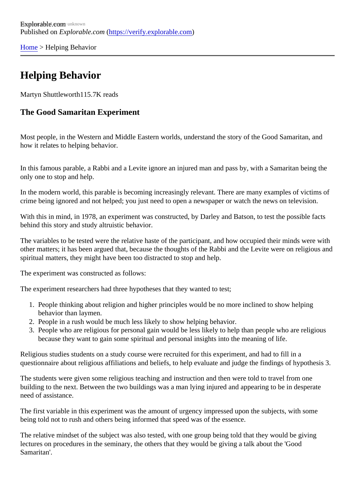[Home](https://verify.explorable.com/)> Helping Behavior

## Helping Behavior

Martyn Shuttleworth15.7K reads

## The Good Samaritan Experiment

Most people, in the Western and Middle Eastern worlds, understand the story of the Good Samaritan, and how it relates to helping behavior.

In this famous parable, a Rabbi and a Levite ignore an injured man and pass by, with a Samaritan being the only one to stop and help.

In the modern world, this parable is becoming increasingly relevant. There are many examples of victims of crime being ignored and not helped; you just need to open a newspaper or watch the news on television.

With this in mind, in 1978, an experiment was constructed, by Darley and Batson, to test the possible facts behind this story and study altruistic behavior.

The variables to be tested were the relative haste of the participant, and how occupied their minds were w other matters; it has been argued that, because the thoughts of the Rabbi and the Levite were on religious spiritual matters, they might have been too distracted to stop and help.

The experiment was constructed as follows:

The experiment researchers had three hypotheses that they wanted to test;

- 1. People thinking about religion and higher principles would be no more inclined to show helping behavior than laymen.
- 2. People in a rush would be much less likely to show helping behavior.
- 3. People who are religious for personal gain would be less likely to help than people who are religious because they want to gain some spiritual and personal insights into the meaning of life.

Religious studies students on a study course were recruited for this experiment, and had to fill in a questionnaire about religious affiliations and beliefs, to help evaluate and judge the findings of hypothesis 3.

The students were given some religious teaching and instruction and then were told to travel from one building to the next. Between the two buildings was a man lying injured and appearing to be in desperate need of assistance.

The first variable in this experiment was the amount of urgency impressed upon the subjects, with some being told not to rush and others being informed that speed was of the essence.

The relative mindset of the subject was also tested, with one group being told that they would be giving lectures on procedures in the seminary, the others that they would be giving a talk about the 'Good Samaritan'.